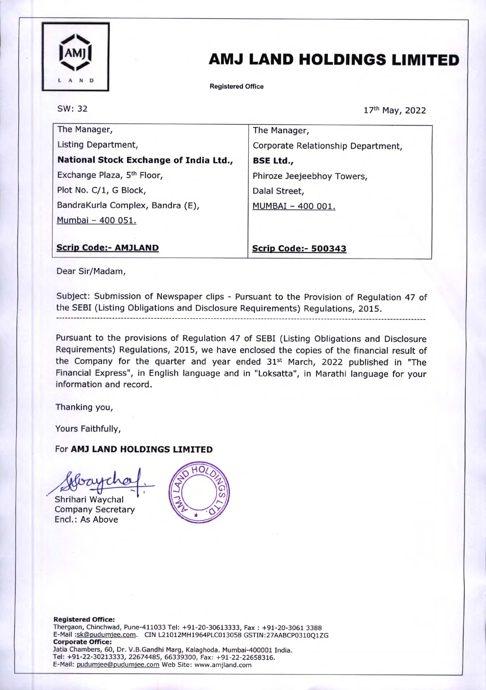

# AMJ LAND HOLDINGS LIMITED

Registered Office

SW: 32

17th May, 2022

| The Manager,                           | The Manager,                       |
|----------------------------------------|------------------------------------|
| Listing Department,                    | Corporate Relationship Department, |
| National Stock Exchange of India Ltd., | <b>BSE Ltd.,</b>                   |
| Exchange Plaza, 5 <sup>th</sup> Floor, | Phiroze Jeejeebhoy Towers,         |
| Plot No. C/1, G Block,                 | Dalal Street,                      |
| BandraKurla Complex, Bandra (E),       | MUMBAI - 400 001.                  |
| Mumbai - 400 051.                      |                                    |
|                                        |                                    |
| <b>Scrip Code:- AMJLAND</b>            | <b>Scrip Code:- 500343</b>         |

Dear Sir/Madam,

Subject: Submission of Newspaper clips - Pursuant to the Provision of Regulation 47 of the SEBI (Listing Obligations and Disclosure Requirements) Regulations, 2015.

Pursuant to the provisions of Regulation 47 of SEBI (Listing Obligations and Disclosure Requirements) Regulations, 2015, we have enclosed the copies of the financial result of the Company for the quarter and year ended 31<sup>st</sup> March, 2022 published in "The Financial Express", in English language and in "Loksatta", in Marathi language for your

Thanking you,

Yours Faithfully,

### For AM) LAND HOLDINGS LIMITED

information and record.

Shrihari Waychal Company Secretary Encl.: As Above

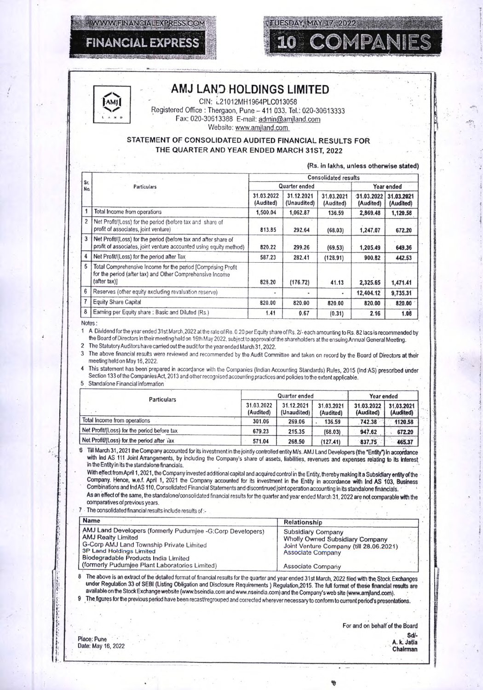



### AMJ LAND HOLDINGS LIMITED

**TUESDAY, MAY 17, 2022** 

UN: L21012MH1964PLC013058 Registered Office : Thergaon, Pune - 411 033. Tel.: 020-30613333 Fax: 020-30613388 E-mail: admin@amjland.com Website: www.amjland.com

#### STATEMENT OF CONSOLIDATED AUDITED FINANCIAL RESULTS FOR THE QUARTER AND YEAR ENDED MARCH 31ST, 2022

|                | Sr.<br>Particulars                                                                                                                         | <b>Consolidated results</b> |                           |                         |                         |                         |  |
|----------------|--------------------------------------------------------------------------------------------------------------------------------------------|-----------------------------|---------------------------|-------------------------|-------------------------|-------------------------|--|
| <b>No.</b>     |                                                                                                                                            |                             | Quarter ended             |                         |                         | Year ended              |  |
|                |                                                                                                                                            | 31.03.2022<br>(Audited)     | 31.12.2021<br>(Unaudited) | 31.03.2021<br>(Audited) | 31.03.2022<br>(Audited) | 31.03.2021<br>(Audited) |  |
|                | Total Income from operations                                                                                                               | 1,500.04                    | 1,062.87                  | 136.59                  | 2,869.48                | 1,120.58                |  |
| $\overline{2}$ | Net Profit/(Loss) for the period (before tax and share of<br>profit of associates, joint venture)                                          | 813.85                      | 292.64                    | (68.03)                 | 1,247.07                | 672.20                  |  |
| 3              | Net Profit/(Loss) for the period (before tax and after share of<br>profit of associates, joint venture accounted using equity method)      | 820.22                      | 299.26                    | (69.53)                 | 1,205.49                | 649.36                  |  |
| 4              | Net Profit/(Loss) for the period after Tax                                                                                                 | 587.23                      | 282.41                    | (128.91)                | 900.82                  | 442.53                  |  |
| 5              | Total Comprehensive Income for the period [Comprising Profit<br>for the period (after tax) and Other Comprehensive Income<br>${after tax}$ | 828.20                      | (176.72)                  | 41.13                   | 2,325.65                | 1,471.41                |  |
| $6\phantom{1}$ | Reserves (other equity excluding revaluation reserve)                                                                                      |                             |                           |                         | 12,404.12               | 9,735.31                |  |
| $\overline{7}$ | <b>Equity Share Capital</b>                                                                                                                | 820.00                      | 820.00                    | 820.00                  | 820.00                  | 820.00                  |  |
| 8              | Earning per Equity share: Basic and Diluted (Rs.)                                                                                          | 1.41                        | 0.67                      | (0.31)                  | 2.16                    | 1.08                    |  |

**Notes** 

1 A Dividend for the year ended 31st March, 2022 at the rate of Re. 0.20 per Equity share of Rs. 2/- each amounting to Rs. 82 lacs is recommended by the Board of Directors in their meeting held on 16th May 2022, subject to approval of the shareholders at the ensuing Annual General Meeting.

2 The Statutory Auditors have carried out the audit for the year ended March 31,2022.

3 The above financial results were reviewed and recommended by the Audit Committee and taken on record by the Board of Directors at their meeting held on May 16,2022.

4 This statement has been prepared in accordance with the Companies (Indian Accounting Standards) Rules, 2015 (Ind AS) prescribed under Section 133 of the Companies Act, 2013 and other recognised accounting practices and policies to the extent applicable.

5 Standalone Financial information

| <b>Particulars</b>                          | Quarter ended           |                           |                         | Year ended              |                         |
|---------------------------------------------|-------------------------|---------------------------|-------------------------|-------------------------|-------------------------|
|                                             | 31.03.2022<br>(Audited) | 31.12.2021<br>(Unaudited) | 31.03.2021<br>(Audited) | 31.03.2022<br>(Audited) | 31.03.2021<br>(Audited) |
| Total Income from operations                | 301.06                  | 269.06                    | 136.59                  | 742.38                  | 1120.58                 |
| Net Profit/(Loss) for the period before tax | 679.23                  | 215.35                    | (68.03)                 | 947.62                  | 672.20                  |
| Net Profit/(Loss) for the period after iax  | 571.04                  | 268.50                    | (127.41)                | 837.75                  | 465.37                  |

6 Till March 31, 2021 the Company accounted for its investment in the jointly controlled entity M/s. AMJ Land Developers (the "Entity") in accordance with Ind AS 111 Joint Arrangements, by including the Company's share of assets, liabilities, revenues and expenses relating to its interest in the Entity in its the standalone financials.

With effect from April 1, 2021, the Company invested additional capital and acquired control in the Entity, thereby making it a Subsidiary entity of the Company. Hence, w.e.f. April 1, 2021 the Company accounted for its investment in the Entity in accordance with Ind AS 103, Business Combinations and Ind AS 110, Consolidated Financial Statements and discontinued joint operation accounting In its standalone financials. ' As an effect of the same, the standalone/consolidated financial results for the quarter and year ended March 31, 2022 are not comparable with the

comparatives of previous years.

7 The consolidated financial results include results of :-

| Name                                                                                                                                                                                                                                                             | Relationship                                                                                                                                             |  |
|------------------------------------------------------------------------------------------------------------------------------------------------------------------------------------------------------------------------------------------------------------------|----------------------------------------------------------------------------------------------------------------------------------------------------------|--|
| AMJ Land Developers (formerly Pudumjee -G:Corp Developers)<br><b>AMJ Realty Limited</b><br>G-Corp AMJ Land Township Private Limited<br><b>3P Land Holdings Limited</b><br>Biodegradable Products India Limited<br>(formerly Pudumjee Plant Laboratories Limited) | <b>Subsidiary Company</b><br>Wholly Owned Subsidiary Company<br>Joint Venture Company (till 28.06.2021)<br><b>Associate Company</b><br>Associate Company |  |

8 The above is an extract of the detailed format of financial results for the quarter and year ended 31st March, 2022 filed with the Stock Exchanges under Regulation 33 of SERI (Listing Obligation and Disclosure Requirements) Regulation,2015. The full format of these financial results are available on the Stock Exchange website (www.bseindia.com and www.nseindia.com) and the Company's web site (www.amjland.com).

The figures for the previous period have been recast/regrouped and corrected wherever necessary to conform to current period's presentations.

1

• For and on behalf of the Board Sd/-<br>A. k. Jatia Place: Pune • A. k. Jetta Date; May 16, 2022 • . Chairman

, •

1